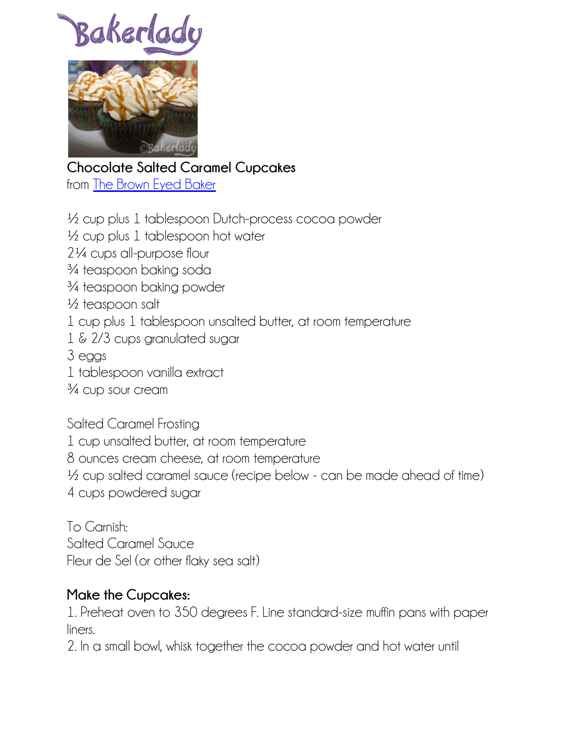Bakerla



**Chocolate Salted Caramel Cupcakes** from [The Brown Eyed Baker](http://www.browneyedbaker.com/2012/05/23/salted-caramel-cupcakes-recipe/)

½ cup plus 1 tablespoon Dutch-process cocoa powder ½ cup plus 1 tablespoon hot water 2¼ cups all-purpose flour ¾ teaspoon baking soda ¾ teaspoon baking powder ½ teaspoon salt 1 cup plus 1 tablespoon unsalted butter, at room temperature 1 & 2/3 cups granulated sugar 3 eggs 1 tablespoon vanilla extract ¾ cup sour cream Salted Caramel Frosting

1 cup unsalted butter, at room temperature 8 ounces cream cheese, at room temperature

<sup>1</sup>/<sub>2</sub> cup salted caramel sauce (recipe below - can be made ahead of time) 4 cups powdered sugar

To Garnish: Salted Caramel Sauce Fleur de Sel (or other flaky sea salt)

## **Make the Cupcakes:**

1. Preheat oven to 350 degrees F. Line standard-size muffin pans with paper liners.

2. In a small bowl, whisk together the cocoa powder and hot water until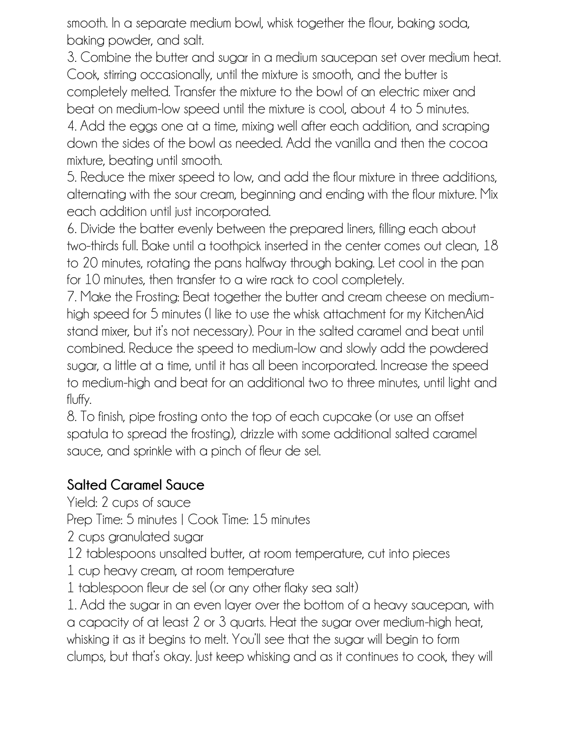smooth. In a separate medium bowl, whisk together the flour, baking soda, baking powder, and salt.

3. Combine the butter and sugar in a medium saucepan set over medium heat. Cook, stirring occasionally, until the mixture is smooth, and the butter is completely melted. Transfer the mixture to the bowl of an electric mixer and beat on medium-low speed until the mixture is cool, about 4 to 5 minutes.

4. Add the eggs one at a time, mixing well after each addition, and scraping down the sides of the bowl as needed. Add the vanilla and then the cocoa mixture, beating until smooth.

5. Reduce the mixer speed to low, and add the flour mixture in three additions, alternating with the sour cream, beginning and ending with the flour mixture. Mix each addition until just incorporated.

6. Divide the batter evenly between the prepared liners, filling each about two-thirds full. Bake until a toothpick inserted in the center comes out clean, 18 to 20 minutes, rotating the pans halfway through baking. Let cool in the pan for 10 minutes, then transfer to a wire rack to cool completely.

7. Make the Frosting: Beat together the butter and cream cheese on mediumhigh speed for 5 minutes (I like to use the whisk attachment for my KitchenAid stand mixer, but it's not necessary). Pour in the salted caramel and beat until combined. Reduce the speed to medium-low and slowly add the powdered sugar, a little at a time, until it has all been incorporated. Increase the speed to medium-high and beat for an additional two to three minutes, until light and fluffy.

8. To finish, pipe frosting onto the top of each cupcake (or use an offset spatula to spread the frosting), drizzle with some additional salted caramel sauce, and sprinkle with a pinch of fleur de sel.

## **Salted Caramel Sauce**

Yield: 2 cups of sauce

Prep Time: 5 minutes | Cook Time: 15 minutes

2 cups granulated sugar

12 tablespoons unsalted butter, at room temperature, cut into pieces

1 cup heavy cream, at room temperature

1 tablespoon fleur de sel (or any other flaky sea salt)

1. Add the sugar in an even layer over the bottom of a heavy saucepan, with a capacity of at least 2 or 3 quarts. Heat the sugar over medium-high heat, whisking it as it begins to melt. You'll see that the sugar will begin to form clumps, but that's okay. Just keep whisking and as it continues to cook, they will